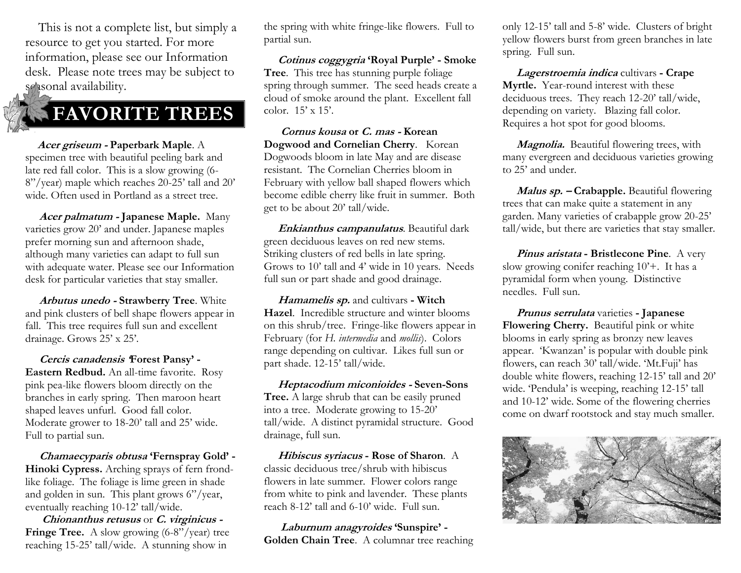This is not a complete list, but simply a resource to get you started. For more information, please see our Information desk. Please note trees may be subject to sessonal availability.

## **FAVORITE TREES**

 **Acer griseum - Paperbark Maple**. A specimen tree with beautiful peeling bark and late red fall color. This is a slow growing (6- 8"/year) maple which reaches 20-25' tall and 20' wide. Often used in Portland as a street tree.

 **Acer palmatum - Japanese Maple.** Many varieties grow 20' and under. Japanese maples prefer morning sun and afternoon shade, although many varieties can adapt to full sun with adequate water. Please see our Information desk for particular varieties that stay smaller.

 **Arbutus unedo - Strawberry Tree**. White and pink clusters of bell shape flowers appear in fall. This tree requires full sun and excellent drainage. Grows 25' x 25'.

 **Cercis canadensis 'Forest Pansy' - Eastern Redbud.** An all-time favorite. Rosy pink pea-like flowers bloom directly on the branches in early spring. Then maroon heart shaped leaves unfurl. Good fall color. Moderate grower to 18-20' tall and 25' wide. Full to partial sun.

 **Chamaecyparis obtusa 'Fernspray Gold' - Hinoki Cypress.** Arching sprays of fern frondlike foliage. The foliage is lime green in shade and golden in sun. This plant grows 6"/year, eventually reaching 10-12' tall/wide.

 **Chionanthus retusus** or **C. virginicus - Fringe Tree.** A slow growing (6-8"/year) tree reaching 15-25' tall/wide. A stunning show in

the spring with white fringe-like flowers. Full to partial sun.

 **Cotinus coggygria 'Royal Purple' - Smoke Tree**. This tree has stunning purple foliage spring through summer. The seed heads create a cloud of smoke around the plant. Excellent fall color. 15' x 15'.

 **Cornus kousa or C. mas - Korean Dogwood and Cornelian Cherry**. Korean Dogwoods bloom in late May and are disease resistant. The Cornelian Cherries bloom in February with yellow ball shaped flowers which become edible cherry like fruit in summer. Both get to be about 20' tall/wide.

 **Enkianthus campanulatus**. Beautiful dark green deciduous leaves on red new stems. Striking clusters of red bells in late spring. Grows to 10' tall and 4' wide in 10 years. Needs full sun or part shade and good drainage.

 **Hamamelis sp.** and cultivars **- Witch Hazel**. Incredible structure and winter blooms on this shrub/tree. Fringe-like flowers appear in February (for *H. intermedia* and *mollis*). Colors range depending on cultivar. Likes full sun or part shade. 12-15' tall/wide.

 **Heptacodium miconioides - Seven-Sons Tree.** A large shrub that can be easily pruned into a tree. Moderate growing to 15-20' tall/wide. A distinct pyramidal structure. Good drainage, full sun.

 **Hibiscus syriacus - Rose of Sharon**. A classic deciduous tree/shrub with hibiscus flowers in late summer. Flower colors range from white to pink and lavender. These plants reach 8-12' tall and 6-10' wide. Full sun.

 **Laburnum anagyroides 'Sunspire' - Golden Chain Tree**. A columnar tree reaching only 12-15' tall and 5-8' wide. Clusters of bright yellow flowers burst from green branches in late spring. Full sun.

 **Lagerstroemia indica** cultivars **- Crape Myrtle.** Year-round interest with these deciduous trees. They reach 12-20' tall/wide, depending on variety. Blazing fall color. Requires a hot spot for good blooms.

 **Magnolia.** Beautiful flowering trees, with many evergreen and deciduous varieties growing to 25' and under.

 **Malus sp. – Crabapple.** Beautiful flowering trees that can make quite a statement in any garden. Many varieties of crabapple grow 20-25' tall/wide, but there are varieties that stay smaller.

 **Pinus aristata - Bristlecone Pine**. A very slow growing conifer reaching 10'+. It has a pyramidal form when young. Distinctive needles. Full sun.

 **Prunus serrulata** varieties **- Japanese Flowering Cherry.** Beautiful pink or white blooms in early spring as bronzy new leaves appear. 'Kwanzan' is popular with double pink flowers, can reach 30' tall/wide. 'Mt.Fuji' has double white flowers, reaching 12-15' tall and 20' wide. 'Pendula' is weeping, reaching 12-15' tall and 10-12' wide. Some of the flowering cherries come on dwarf rootstock and stay much smaller.